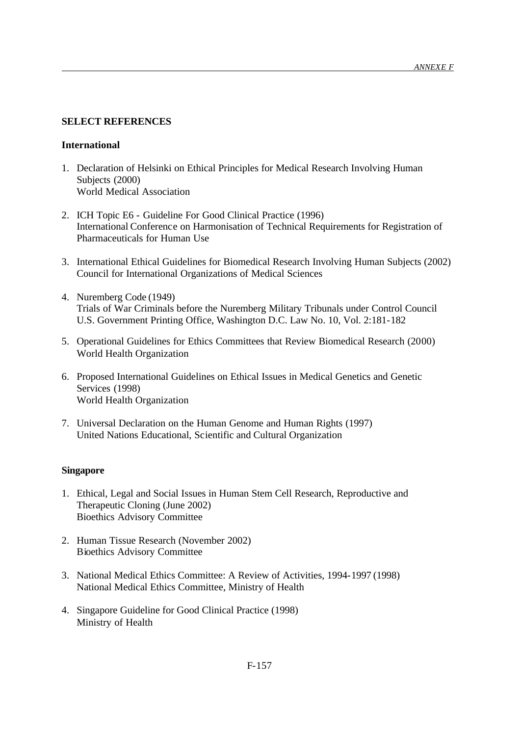## **SELECT REFERENCES**

## **International**

- 1. Declaration of Helsinki on Ethical Principles for Medical Research Involving Human Subjects (2000) World Medical Association
- 2. ICH Topic E6 Guideline For Good Clinical Practice (1996) International Conference on Harmonisation of Technical Requirements for Registration of Pharmaceuticals for Human Use
- 3. International Ethical Guidelines for Biomedical Research Involving Human Subjects (2002) Council for International Organizations of Medical Sciences
- 4. Nuremberg Code (1949) Trials of War Criminals before the Nuremberg Military Tribunals under Control Council U.S. Government Printing Office, Washington D.C. Law No. 10, Vol. 2:181-182
- 5. Operational Guidelines for Ethics Committees that Review Biomedical Research (2000) World Health Organization
- 6. Proposed International Guidelines on Ethical Issues in Medical Genetics and Genetic Services (1998) World Health Organization
- 7. Universal Declaration on the Human Genome and Human Rights (1997) United Nations Educational, Scientific and Cultural Organization

## **Singapore**

- 1. Ethical, Legal and Social Issues in Human Stem Cell Research, Reproductive and Therapeutic Cloning (June 2002) Bioethics Advisory Committee
- 2. Human Tissue Research (November 2002) Bioethics Advisory Committee
- 3. National Medical Ethics Committee: A Review of Activities, 1994-1997 (1998) National Medical Ethics Committee, Ministry of Health
- 4. Singapore Guideline for Good Clinical Practice (1998) Ministry of Health